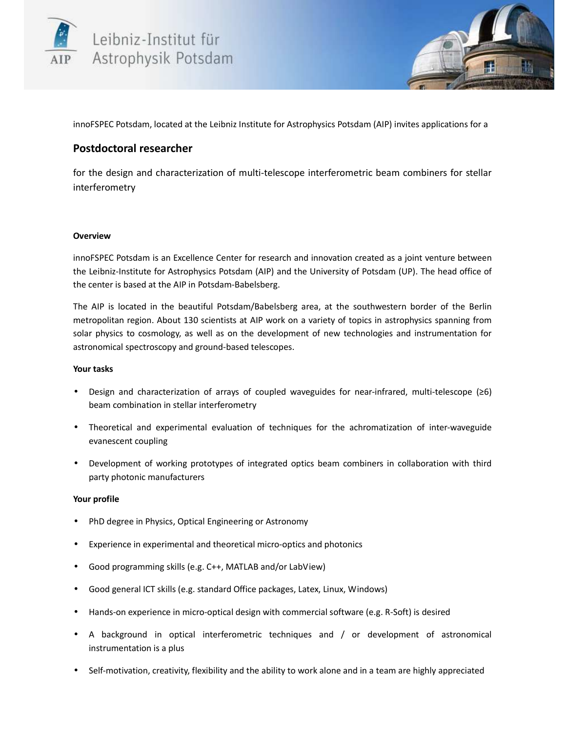



innoFSPEC Potsdam, located at the Leibniz Institute for Astrophysics Potsdam (AIP) invites applications for a

# **Postdoctoral researcher**

for the design and characterization of multi-telescope interferometric beam combiners for stellar interferometry

## **Overview**

innoFSPEC Potsdam is an Excellence Center for research and innovation created as a joint venture between the Leibniz-Institute for Astrophysics Potsdam (AIP) and the University of Potsdam (UP). The head office of the center is based at the AIP in Potsdam-Babelsberg.

The AIP is located in the beautiful Potsdam/Babelsberg area, at the southwestern border of the Berlin metropolitan region. About 130 scientists at AIP work on a variety of topics in astrophysics spanning from solar physics to cosmology, as well as on the development of new technologies and instrumentation for astronomical spectroscopy and ground-based telescopes.

## **Your tasks**

- Design and characterization of arrays of coupled waveguides for near-infrared, multi-telescope (≥6) beam combination in stellar interferometry
- Theoretical and experimental evaluation of techniques for the achromatization of inter-waveguide evanescent coupling
- Development of working prototypes of integrated optics beam combiners in collaboration with third party photonic manufacturers

## **Your profile**

- PhD degree in Physics, Optical Engineering or Astronomy
- Experience in experimental and theoretical micro-optics and photonics
- Good programming skills (e.g. C++, MATLAB and/or LabView)
- Good general ICT skills (e.g. standard Office packages, Latex, Linux, Windows)
- Hands-on experience in micro-optical design with commercial software (e.g. R-Soft) is desired
- A background in optical interferometric techniques and / or development of astronomical instrumentation is a plus
- Self-motivation, creativity, flexibility and the ability to work alone and in a team are highly appreciated